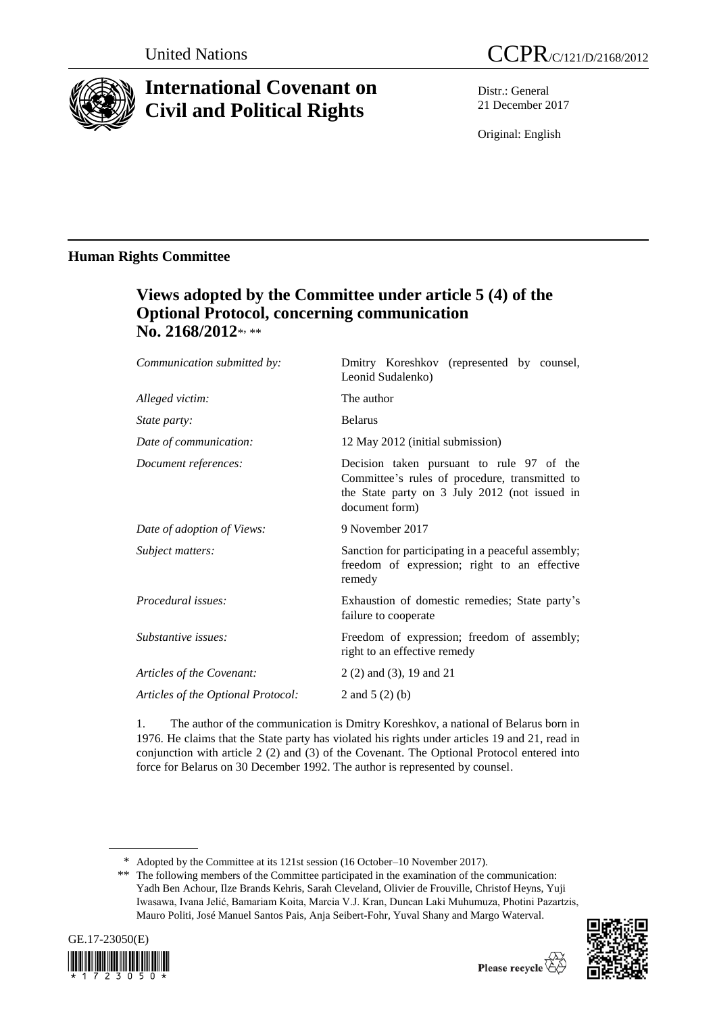

# **International Covenant on Civil and Political Rights**

Distr.: General 21 December 2017

Original: English

# **Human Rights Committee**

# **Views adopted by the Committee under article 5 (4) of the Optional Protocol, concerning communication**  No. 2168/2012\*<sub>\*\*\*</sub>

| Communication submitted by:        | Dmitry Koreshkov (represented by counsel,<br>Leonid Sudalenko)                                                                                                 |
|------------------------------------|----------------------------------------------------------------------------------------------------------------------------------------------------------------|
| Alleged victim:                    | The author                                                                                                                                                     |
| <i>State party:</i>                | <b>Belarus</b>                                                                                                                                                 |
| Date of communication:             | 12 May 2012 (initial submission)                                                                                                                               |
| Document references:               | Decision taken pursuant to rule 97 of the<br>Committee's rules of procedure, transmitted to<br>the State party on 3 July 2012 (not issued in<br>document form) |
| Date of adoption of Views:         | 9 November 2017                                                                                                                                                |
| Subject matters:                   | Sanction for participating in a peaceful assembly;<br>freedom of expression; right to an effective<br>remedy                                                   |
| Procedural issues:                 | Exhaustion of domestic remedies; State party's<br>failure to cooperate                                                                                         |
| Substantive issues:                | Freedom of expression; freedom of assembly;<br>right to an effective remedy                                                                                    |
| Articles of the Covenant:          | 2 (2) and (3), 19 and 21                                                                                                                                       |
| Articles of the Optional Protocol: | 2 and $5(2)(b)$                                                                                                                                                |

1. The author of the communication is Dmitry Koreshkov, a national of Belarus born in 1976. He claims that the State party has violated his rights under articles 19 and 21, read in conjunction with article 2 (2) and (3) of the Covenant. The Optional Protocol entered into force for Belarus on 30 December 1992. The author is represented by counsel.

<sup>\*\*</sup> The following members of the Committee participated in the examination of the communication: Yadh Ben Achour, Ilze Brands Kehris, Sarah Cleveland, Olivier de Frouville, Christof Heyns, Yuji Iwasawa, Ivana Jelić, Bamariam Koita, Marcia V.J. Kran, Duncan Laki Muhumuza, Photini Pazartzis, Mauro Politi, José Manuel Santos Pais, Anja Seibert-Fohr, Yuval Shany and Margo Waterval.





<sup>\*</sup> Adopted by the Committee at its 121st session (16 October–10 November 2017).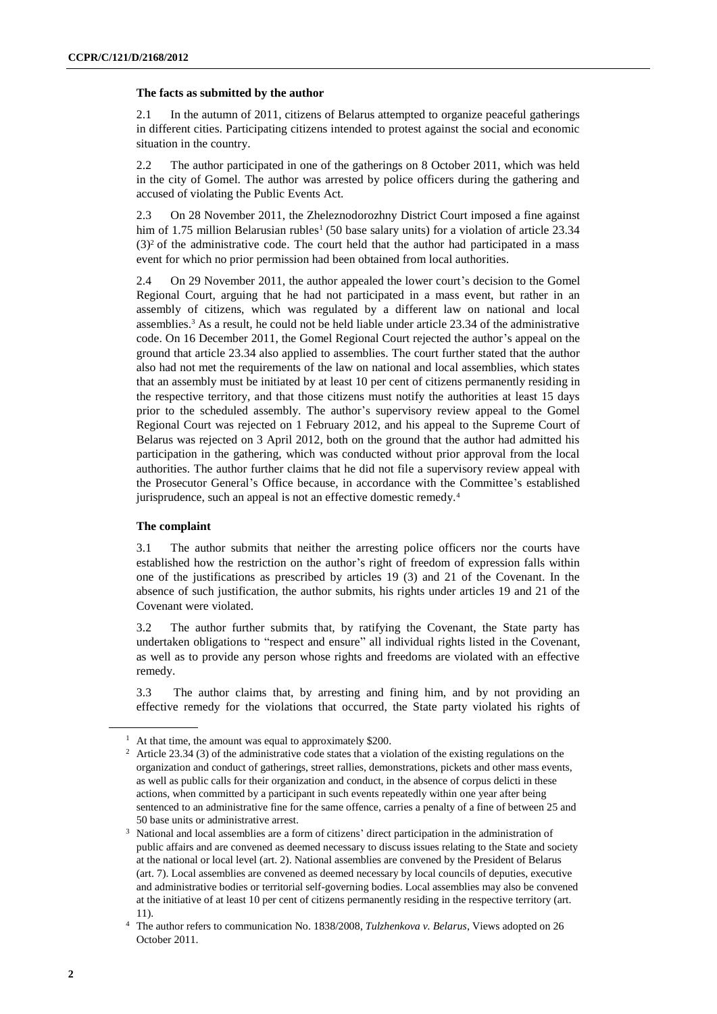#### **The facts as submitted by the author**

2.1 In the autumn of 2011, citizens of Belarus attempted to organize peaceful gatherings in different cities. Participating citizens intended to protest against the social and economic situation in the country.

2.2 The author participated in one of the gatherings on 8 October 2011, which was held in the city of Gomel. The author was arrested by police officers during the gathering and accused of violating the Public Events Act.

2.3 On 28 November 2011, the Zheleznodorozhny District Court imposed a fine against him of 1.75 million Belarusian rubles<sup>1</sup> (50 base salary units) for a violation of article 23.34  $(3)<sup>2</sup>$  of the administrative code. The court held that the author had participated in a mass event for which no prior permission had been obtained from local authorities.

2.4 On 29 November 2011, the author appealed the lower court's decision to the Gomel Regional Court, arguing that he had not participated in a mass event, but rather in an assembly of citizens, which was regulated by a different law on national and local assemblies.<sup>3</sup> As a result, he could not be held liable under article 23.34 of the administrative code. On 16 December 2011, the Gomel Regional Court rejected the author's appeal on the ground that article 23.34 also applied to assemblies. The court further stated that the author also had not met the requirements of the law on national and local assemblies, which states that an assembly must be initiated by at least 10 per cent of citizens permanently residing in the respective territory, and that those citizens must notify the authorities at least 15 days prior to the scheduled assembly. The author's supervisory review appeal to the Gomel Regional Court was rejected on 1 February 2012, and his appeal to the Supreme Court of Belarus was rejected on 3 April 2012, both on the ground that the author had admitted his participation in the gathering, which was conducted without prior approval from the local authorities. The author further claims that he did not file a supervisory review appeal with the Prosecutor General's Office because, in accordance with the Committee's established jurisprudence, such an appeal is not an effective domestic remedy.<sup>4</sup>

### **The complaint**

3.1 The author submits that neither the arresting police officers nor the courts have established how the restriction on the author's right of freedom of expression falls within one of the justifications as prescribed by articles 19 (3) and 21 of the Covenant. In the absence of such justification, the author submits, his rights under articles 19 and 21 of the Covenant were violated.

3.2 The author further submits that, by ratifying the Covenant, the State party has undertaken obligations to "respect and ensure" all individual rights listed in the Covenant, as well as to provide any person whose rights and freedoms are violated with an effective remedy.

3.3 The author claims that, by arresting and fining him, and by not providing an effective remedy for the violations that occurred, the State party violated his rights of

<sup>&</sup>lt;sup>1</sup> At that time, the amount was equal to approximately \$200.

<sup>&</sup>lt;sup>2</sup> Article 23.34 (3) of the administrative code states that a violation of the existing regulations on the organization and conduct of gatherings, street rallies, demonstrations, pickets and other mass events, as well as public calls for their organization and conduct, in the absence of corpus delicti in these actions, when committed by a participant in such events repeatedly within one year after being sentenced to an administrative fine for the same offence, carries a penalty of a fine of between 25 and 50 base units or administrative arrest.

<sup>3</sup> National and local assemblies are a form of citizens' direct participation in the administration of public affairs and are convened as deemed necessary to discuss issues relating to the State and society at the national or local level (art. 2). National assemblies are convened by the President of Belarus (art. 7). Local assemblies are convened as deemed necessary by local councils of deputies, executive and administrative bodies or territorial self-governing bodies. Local assemblies may also be convened at the initiative of at least 10 per cent of citizens permanently residing in the respective territory (art. 11).

<sup>4</sup> The author refers to communication No. 1838/2008, *Tulzhenkova v. Belarus*, Views adopted on 26 October 2011.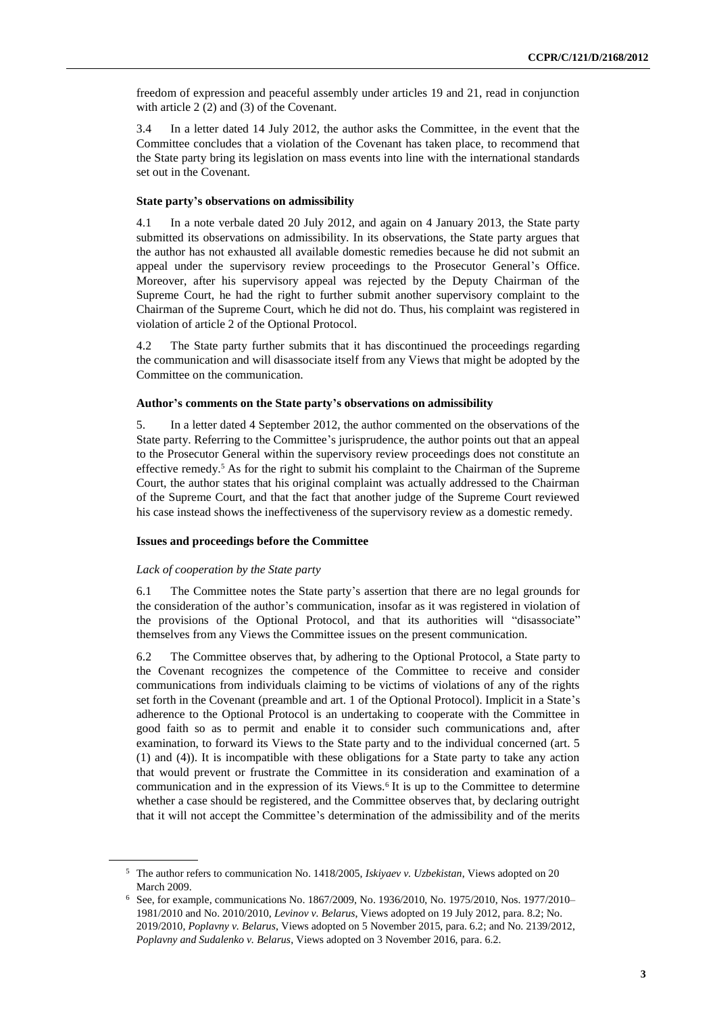freedom of expression and peaceful assembly under articles 19 and 21, read in conjunction with article 2 (2) and (3) of the Covenant.

3.4 In a letter dated 14 July 2012, the author asks the Committee, in the event that the Committee concludes that a violation of the Covenant has taken place, to recommend that the State party bring its legislation on mass events into line with the international standards set out in the Covenant.

#### **State party's observations on admissibility**

4.1 In a note verbale dated 20 July 2012, and again on 4 January 2013, the State party submitted its observations on admissibility. In its observations, the State party argues that the author has not exhausted all available domestic remedies because he did not submit an appeal under the supervisory review proceedings to the Prosecutor General's Office. Moreover, after his supervisory appeal was rejected by the Deputy Chairman of the Supreme Court, he had the right to further submit another supervisory complaint to the Chairman of the Supreme Court, which he did not do. Thus, his complaint was registered in violation of article 2 of the Optional Protocol.

4.2 The State party further submits that it has discontinued the proceedings regarding the communication and will disassociate itself from any Views that might be adopted by the Committee on the communication.

### **Author's comments on the State party's observations on admissibility**

5. In a letter dated 4 September 2012, the author commented on the observations of the State party. Referring to the Committee's jurisprudence, the author points out that an appeal to the Prosecutor General within the supervisory review proceedings does not constitute an effective remedy.<sup>5</sup> As for the right to submit his complaint to the Chairman of the Supreme Court, the author states that his original complaint was actually addressed to the Chairman of the Supreme Court, and that the fact that another judge of the Supreme Court reviewed his case instead shows the ineffectiveness of the supervisory review as a domestic remedy.

# **Issues and proceedings before the Committee**

# *Lack of cooperation by the State party*

6.1 The Committee notes the State party's assertion that there are no legal grounds for the consideration of the author's communication, insofar as it was registered in violation of the provisions of the Optional Protocol, and that its authorities will "disassociate" themselves from any Views the Committee issues on the present communication.

6.2 The Committee observes that, by adhering to the Optional Protocol, a State party to the Covenant recognizes the competence of the Committee to receive and consider communications from individuals claiming to be victims of violations of any of the rights set forth in the Covenant (preamble and art. 1 of the Optional Protocol). Implicit in a State's adherence to the Optional Protocol is an undertaking to cooperate with the Committee in good faith so as to permit and enable it to consider such communications and, after examination, to forward its Views to the State party and to the individual concerned (art. 5 (1) and (4)). It is incompatible with these obligations for a State party to take any action that would prevent or frustrate the Committee in its consideration and examination of a communication and in the expression of its Views.<sup>6</sup> It is up to the Committee to determine whether a case should be registered, and the Committee observes that, by declaring outright that it will not accept the Committee's determination of the admissibility and of the merits

<sup>5</sup> The author refers to communication No. 1418/2005, *Iskiyaev v. Uzbekistan*, Views adopted on 20 March 2009.

<sup>6</sup> See, for example, communications No. 1867/2009, No. 1936/2010, No. 1975/2010, Nos. 1977/2010– 1981/2010 and No. 2010/2010, *Levinov v. Belarus*, Views adopted on 19 July 2012, para. 8.2; No. 2019/2010, *Poplavny v. Belarus*, Views adopted on 5 November 2015, para. 6.2; and No. 2139/2012, *Poplavny and Sudalenko v. Belarus*, Views adopted on 3 November 2016, para. 6.2.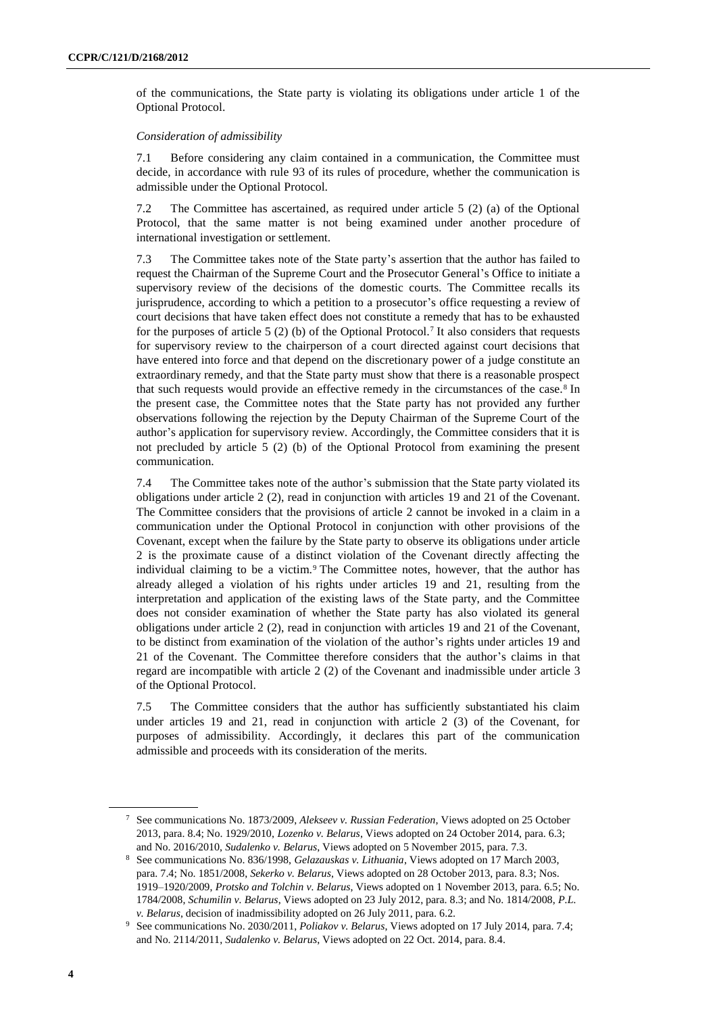of the communications, the State party is violating its obligations under article 1 of the Optional Protocol.

#### *Consideration of admissibility*

7.1 Before considering any claim contained in a communication, the Committee must decide, in accordance with rule 93 of its rules of procedure, whether the communication is admissible under the Optional Protocol.

7.2 The Committee has ascertained, as required under article 5 (2) (a) of the Optional Protocol, that the same matter is not being examined under another procedure of international investigation or settlement.

7.3 The Committee takes note of the State party's assertion that the author has failed to request the Chairman of the Supreme Court and the Prosecutor General's Office to initiate a supervisory review of the decisions of the domestic courts. The Committee recalls its jurisprudence, according to which a petition to a prosecutor's office requesting a review of court decisions that have taken effect does not constitute a remedy that has to be exhausted for the purposes of article 5 (2) (b) of the Optional Protocol.<sup>7</sup> It also considers that requests for supervisory review to the chairperson of a court directed against court decisions that have entered into force and that depend on the discretionary power of a judge constitute an extraordinary remedy, and that the State party must show that there is a reasonable prospect that such requests would provide an effective remedy in the circumstances of the case.<sup>8</sup> In the present case, the Committee notes that the State party has not provided any further observations following the rejection by the Deputy Chairman of the Supreme Court of the author's application for supervisory review. Accordingly, the Committee considers that it is not precluded by article 5 (2) (b) of the Optional Protocol from examining the present communication.

7.4 The Committee takes note of the author's submission that the State party violated its obligations under article 2 (2), read in conjunction with articles 19 and 21 of the Covenant. The Committee considers that the provisions of article 2 cannot be invoked in a claim in a communication under the Optional Protocol in conjunction with other provisions of the Covenant, except when the failure by the State party to observe its obligations under article 2 is the proximate cause of a distinct violation of the Covenant directly affecting the individual claiming to be a victim.<sup>9</sup> The Committee notes, however, that the author has already alleged a violation of his rights under articles 19 and 21, resulting from the interpretation and application of the existing laws of the State party, and the Committee does not consider examination of whether the State party has also violated its general obligations under article 2 (2), read in conjunction with articles 19 and 21 of the Covenant, to be distinct from examination of the violation of the author's rights under articles 19 and 21 of the Covenant. The Committee therefore considers that the author's claims in that regard are incompatible with article 2 (2) of the Covenant and inadmissible under article 3 of the Optional Protocol.

7.5 The Committee considers that the author has sufficiently substantiated his claim under articles 19 and 21, read in conjunction with article 2 (3) of the Covenant, for purposes of admissibility. Accordingly, it declares this part of the communication admissible and proceeds with its consideration of the merits.

<sup>7</sup> See communications No. 1873/2009, *Alekseev v. Russian Federation*, Views adopted on 25 October 2013, para. 8.4; No. 1929/2010, *Lozenko v. Belarus*, Views adopted on 24 October 2014, para. 6.3; and No. 2016/2010, *Sudalenko v. Belarus*, Views adopted on 5 November 2015, para. 7.3.

<sup>8</sup> See communications No. 836/1998, *Gelazauskas v. Lithuania*, Views adopted on 17 March 2003, para. 7.4; No. 1851/2008, *Sekerko v. Belarus*, Views adopted on 28 October 2013, para. 8.3; Nos. 1919–1920/2009, *Protsko and Tolchin v. Belarus*, Views adopted on 1 November 2013, para. 6.5; No. 1784/2008, *Schumilin v. Belarus*, Views adopted on 23 July 2012, para. 8.3; and No. 1814/2008, *P.L. v. Belarus*, decision of inadmissibility adopted on 26 July 2011, para. 6.2.

<sup>9</sup> See communications No. 2030/2011, *Poliakov v. Belarus*, Views adopted on 17 July 2014, para. 7.4; and No. 2114/2011, *Sudalenko v. Belarus*, Views adopted on 22 Oct. 2014, para. 8.4.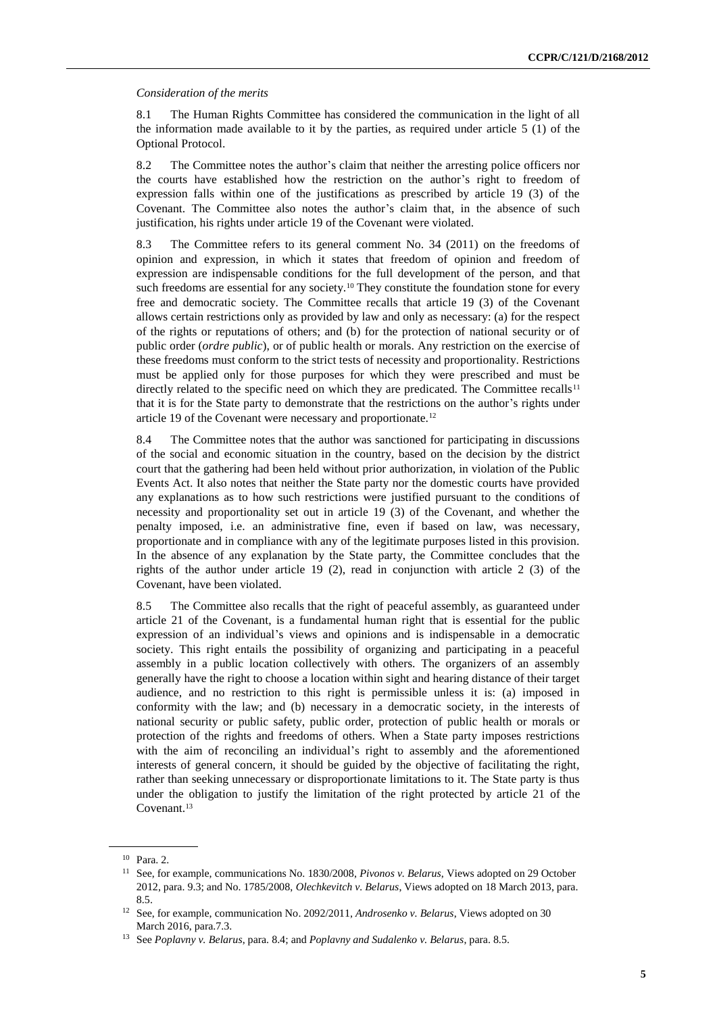#### *Consideration of the merits*

8.1 The Human Rights Committee has considered the communication in the light of all the information made available to it by the parties, as required under article 5 (1) of the Optional Protocol.

8.2 The Committee notes the author's claim that neither the arresting police officers nor the courts have established how the restriction on the author's right to freedom of expression falls within one of the justifications as prescribed by article 19 (3) of the Covenant. The Committee also notes the author's claim that, in the absence of such justification, his rights under article 19 of the Covenant were violated.

8.3 The Committee refers to its general comment No. 34 (2011) on the freedoms of opinion and expression, in which it states that freedom of opinion and freedom of expression are indispensable conditions for the full development of the person, and that such freedoms are essential for any society.<sup>10</sup> They constitute the foundation stone for every free and democratic society. The Committee recalls that article 19 (3) of the Covenant allows certain restrictions only as provided by law and only as necessary: (a) for the respect of the rights or reputations of others; and (b) for the protection of national security or of public order (*ordre public*), or of public health or morals. Any restriction on the exercise of these freedoms must conform to the strict tests of necessity and proportionality. Restrictions must be applied only for those purposes for which they were prescribed and must be directly related to the specific need on which they are predicated. The Committee recalls<sup>11</sup> that it is for the State party to demonstrate that the restrictions on the author's rights under article 19 of the Covenant were necessary and proportionate.<sup>12</sup>

8.4 The Committee notes that the author was sanctioned for participating in discussions of the social and economic situation in the country, based on the decision by the district court that the gathering had been held without prior authorization, in violation of the Public Events Act. It also notes that neither the State party nor the domestic courts have provided any explanations as to how such restrictions were justified pursuant to the conditions of necessity and proportionality set out in article 19 (3) of the Covenant, and whether the penalty imposed, i.e. an administrative fine, even if based on law, was necessary, proportionate and in compliance with any of the legitimate purposes listed in this provision. In the absence of any explanation by the State party, the Committee concludes that the rights of the author under article  $19 \, (2)$ , read in conjunction with article  $2 \, (3)$  of the Covenant, have been violated.

8.5 The Committee also recalls that the right of peaceful assembly, as guaranteed under article 21 of the Covenant, is a fundamental human right that is essential for the public expression of an individual's views and opinions and is indispensable in a democratic society. This right entails the possibility of organizing and participating in a peaceful assembly in a public location collectively with others. The organizers of an assembly generally have the right to choose a location within sight and hearing distance of their target audience, and no restriction to this right is permissible unless it is: (a) imposed in conformity with the law; and (b) necessary in a democratic society, in the interests of national security or public safety, public order, protection of public health or morals or protection of the rights and freedoms of others. When a State party imposes restrictions with the aim of reconciling an individual's right to assembly and the aforementioned interests of general concern, it should be guided by the objective of facilitating the right, rather than seeking unnecessary or disproportionate limitations to it. The State party is thus under the obligation to justify the limitation of the right protected by article 21 of the Covenant.<sup>13</sup>

<sup>10</sup> Para. 2.

<sup>11</sup> See, for example, communications No. 1830/2008, *Pivonos v. Belarus*, Views adopted on 29 October 2012, para. 9.3; and No. 1785/2008, *Olechkevitch v. Belarus*, Views adopted on 18 March 2013, para. 8.5.

<sup>12</sup> See, for example, communication No. 2092/2011, *Androsenko v. Belarus*, Views adopted on 30 March 2016, para.7.3.

<sup>13</sup> See *Poplavny v. Belarus*, para. 8.4; and *Poplavny and Sudalenko v. Belarus*, para. 8.5.